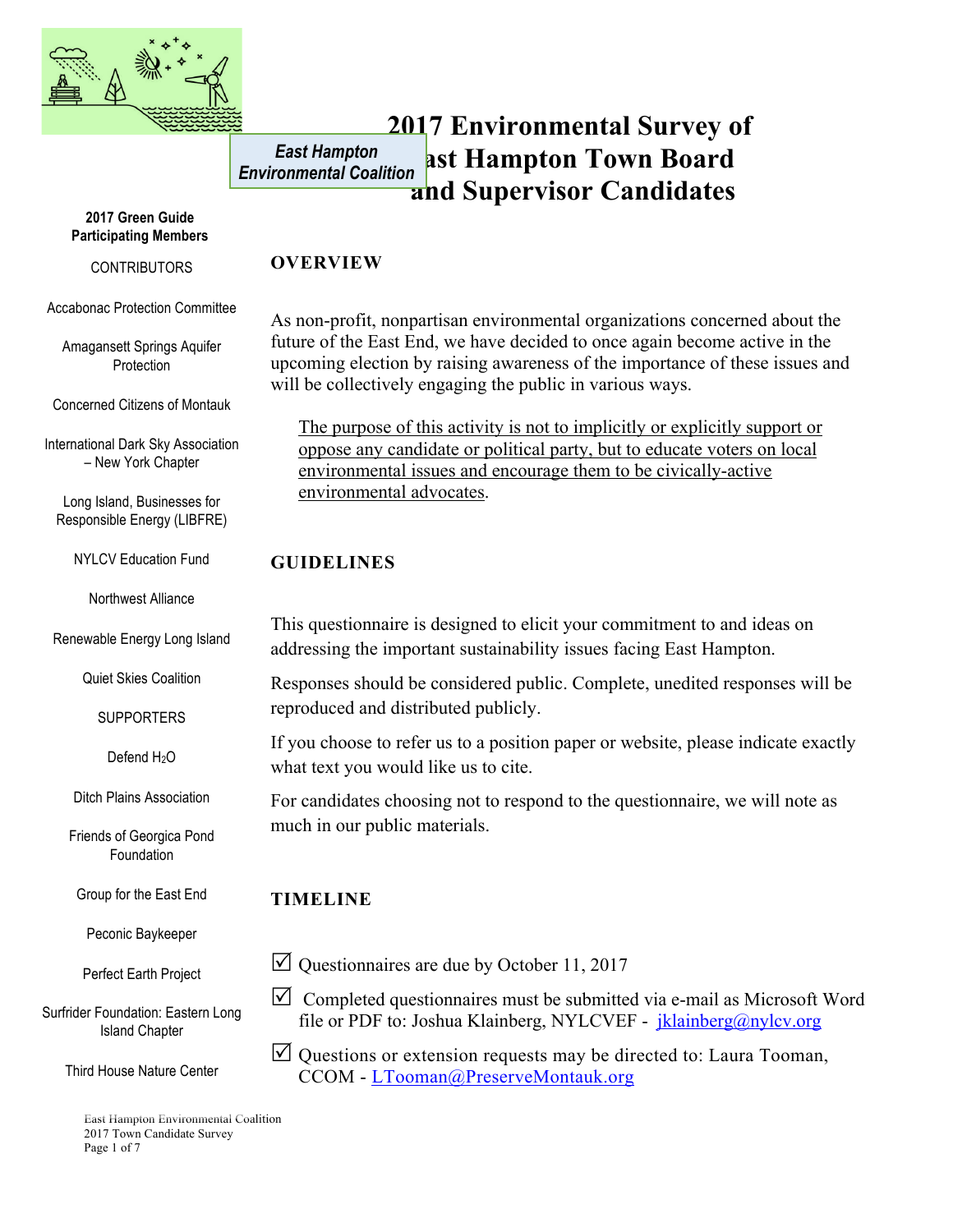

#### **2017 Environmental Survey of East Hampton Town Board and Supervisor Candidates** *East Hampton Environmental Coalition*

#### **2017 Green Guide Participating Members**

**CONTRIBUTORS** 

## **OVERVIEW**

Accabonac Protection Committee

Amagansett Springs Aquifer **Protection** 

Concerned Citizens of Montauk

International Dark Sky Association – New York Chapter

Long Island, Businesses for Responsible Energy (LIBFRE)

NYLCV Education Fund

Northwest Alliance

Renewable Energy Long Island

Quiet Skies Coalition

**SUPPORTERS** 

Defend H<sub>2</sub>O

Ditch Plains Association

Friends of Georgica Pond Foundation

Group for the East End

Peconic Baykeeper

Perfect Earth Project

Surfrider Foundation: Eastern Long Island Chapter

Third House Nature Center

East Hampton Environmental Coalition 2017 Town Candidate Survey Page 1 of 7

As non-profit, nonpartisan environmental organizations concerned about the future of the East End, we have decided to once again become active in the upcoming election by raising awareness of the importance of these issues and will be collectively engaging the public in various ways.

The purpose of this activity is not to implicitly or explicitly support or oppose any candidate or political party, but to educate voters on local environmental issues and encourage them to be civically-active environmental advocates.

# **GUIDELINES**

This questionnaire is designed to elicit your commitment to and ideas on addressing the important sustainability issues facing East Hampton.

Responses should be considered public. Complete, unedited responses will be reproduced and distributed publicly.

If you choose to refer us to a position paper or website, please indicate exactly what text you would like us to cite.

For candidates choosing not to respond to the questionnaire, we will note as much in our public materials.

# **TIMELINE**

 $\triangledown$  Questionnaires are due by October 11, 2017

 $\Box$  Completed questionnaires must be submitted via e-mail as Microsoft Word file or PDF to: Joshua Klainberg, NYLCVEF - *jklainberg@nylcv.org* 

 $\Box$  Questions or extension requests may be directed to: Laura Tooman, CCOM - LTooman@PreserveMontauk.org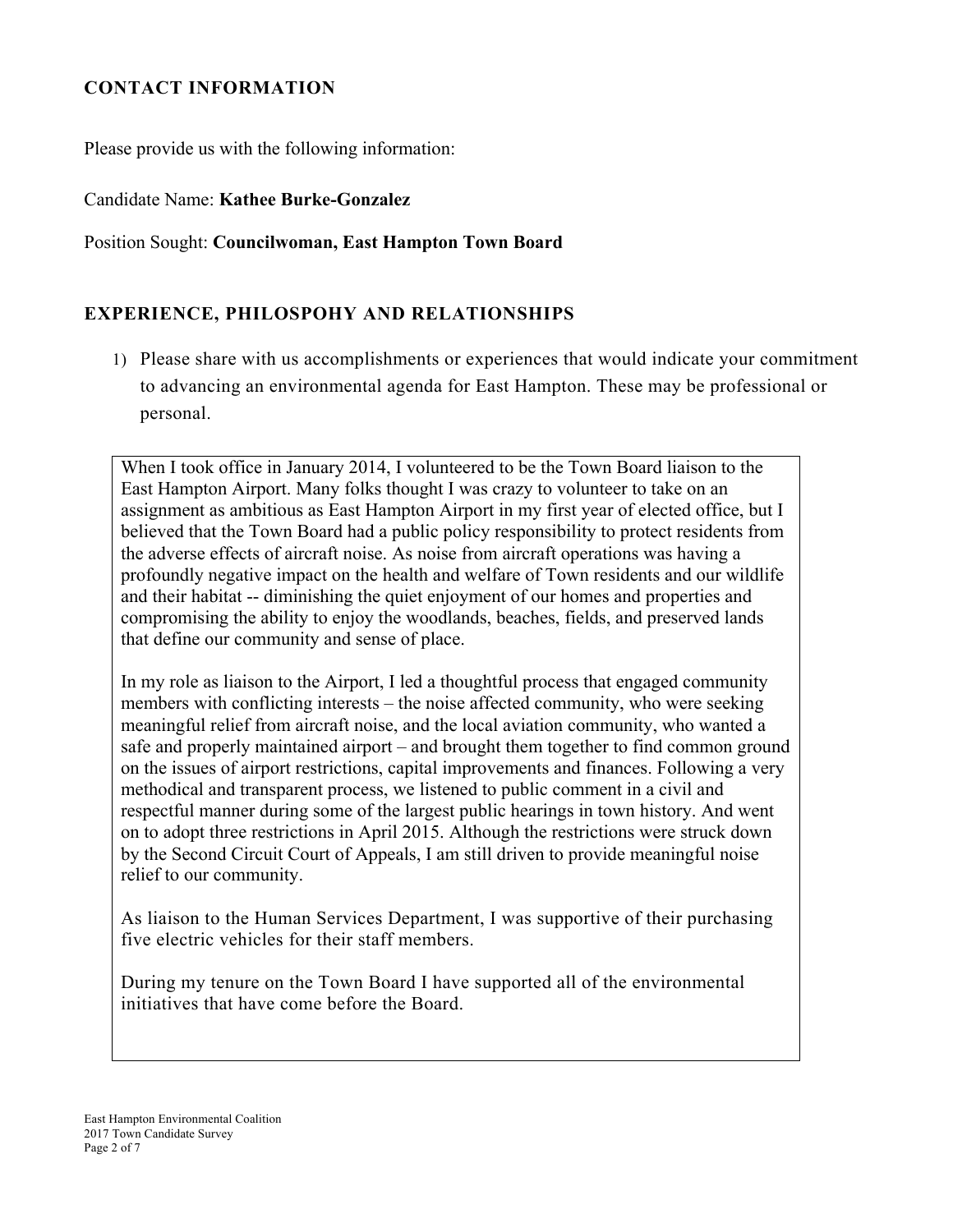## **CONTACT INFORMATION**

Please provide us with the following information:

## Candidate Name: **Kathee Burke-Gonzalez**

### Position Sought: **Councilwoman, East Hampton Town Board**

## **EXPERIENCE, PHILOSPOHY AND RELATIONSHIPS**

1) Please share with us accomplishments or experiences that would indicate your commitment to advancing an environmental agenda for East Hampton. These may be professional or personal.

When I took office in January 2014, I volunteered to be the Town Board liaison to the East Hampton Airport. Many folks thought I was crazy to volunteer to take on an assignment as ambitious as East Hampton Airport in my first year of elected office, but I believed that the Town Board had a public policy responsibility to protect residents from the adverse effects of aircraft noise. As noise from aircraft operations was having a profoundly negative impact on the health and welfare of Town residents and our wildlife and their habitat -- diminishing the quiet enjoyment of our homes and properties and compromising the ability to enjoy the woodlands, beaches, fields, and preserved lands that define our community and sense of place.

In my role as liaison to the Airport, I led a thoughtful process that engaged community members with conflicting interests – the noise affected community, who were seeking meaningful relief from aircraft noise, and the local aviation community, who wanted a safe and properly maintained airport – and brought them together to find common ground on the issues of airport restrictions, capital improvements and finances. Following a very methodical and transparent process, we listened to public comment in a civil and respectful manner during some of the largest public hearings in town history. And went on to adopt three restrictions in April 2015. Although the restrictions were struck down by the Second Circuit Court of Appeals, I am still driven to provide meaningful noise relief to our community.

As liaison to the Human Services Department, I was supportive of their purchasing five electric vehicles for their staff members.

During my tenure on the Town Board I have supported all of the environmental initiatives that have come before the Board.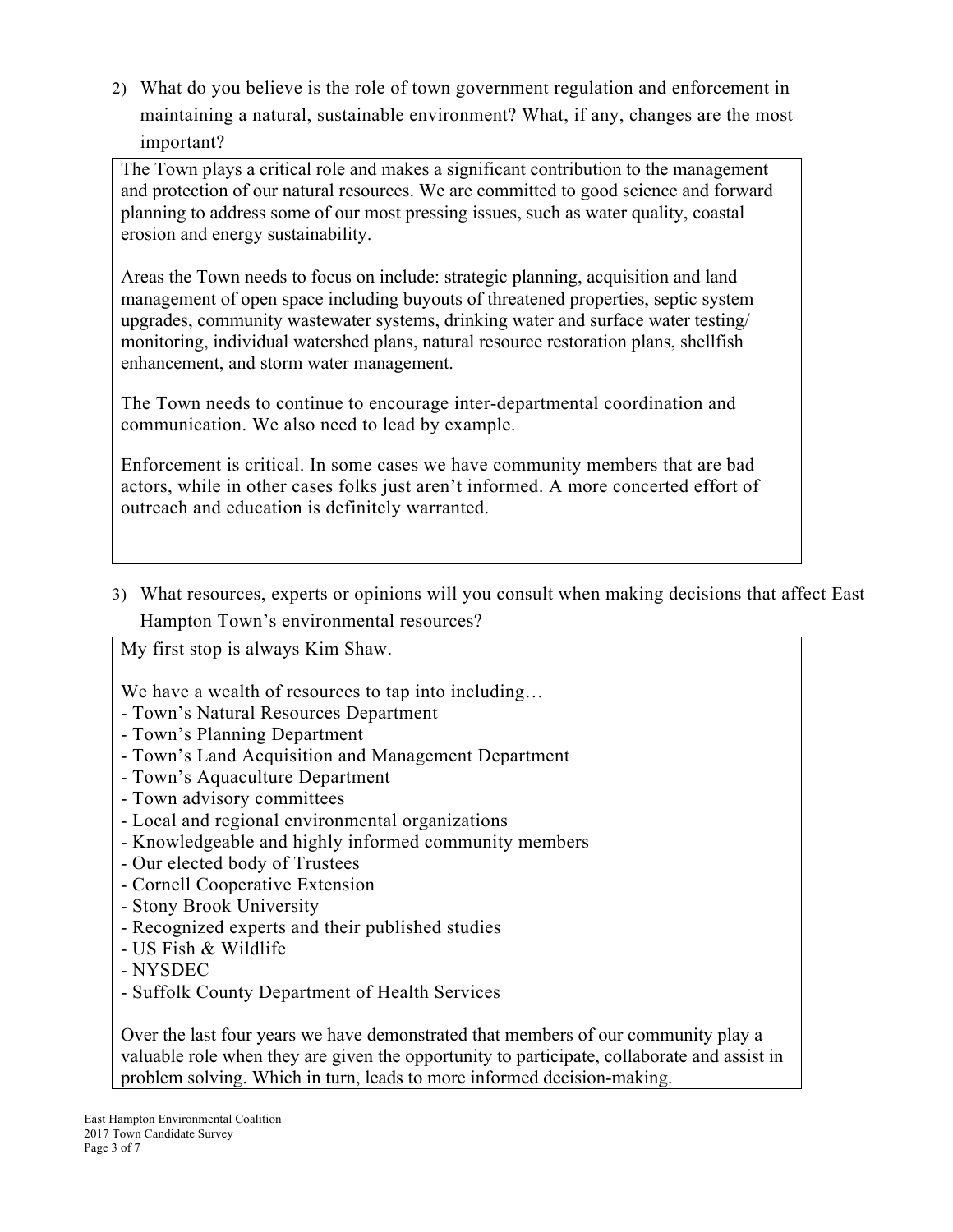2) What do you believe is the role of town government regulation and enforcement in maintaining a natural, sustainable environment? What, if any, changes are the most important?

The Town plays a critical role and makes a significant contribution to the management and protection of our natural resources. We are committed to good science and forward planning to address some of our most pressing issues, such as water quality, coastal erosion and energy sustainability.

Areas the Town needs to focus on include: strategic planning, acquisition and land management of open space including buyouts of threatened properties, septic system upgrades, community wastewater systems, drinking water and surface water testing/ monitoring, individual watershed plans, natural resource restoration plans, shellfish enhancement, and storm water management.

The Town needs to continue to encourage inter-departmental coordination and communication. We also need to lead by example.

Enforcement is critical. In some cases we have community members that are bad actors, while in other cases folks just aren't informed. A more concerted effort of outreach and education is definitely warranted.

3) What resources, experts or opinions will you consult when making decisions that affect East Hampton Town's environmental resources?

My first stop is always Kim Shaw.

We have a wealth of resources to tap into including...

- Town's Natural Resources Department
- Town's Planning Department
- Town's Land Acquisition and Management Department
- Town's Aquaculture Department
- Town advisory committees
- Local and regional environmental organizations
- Knowledgeable and highly informed community members
- Our elected body of Trustees
- Cornell Cooperative Extension
- Stony Brook University
- Recognized experts and their published studies
- US Fish & Wildlife
- NYSDEC
- Suffolk County Department of Health Services

Over the last four years we have demonstrated that members of our community play a valuable role when they are given the opportunity to participate, collaborate and assist in problem solving. Which in turn, leads to more informed decision-making.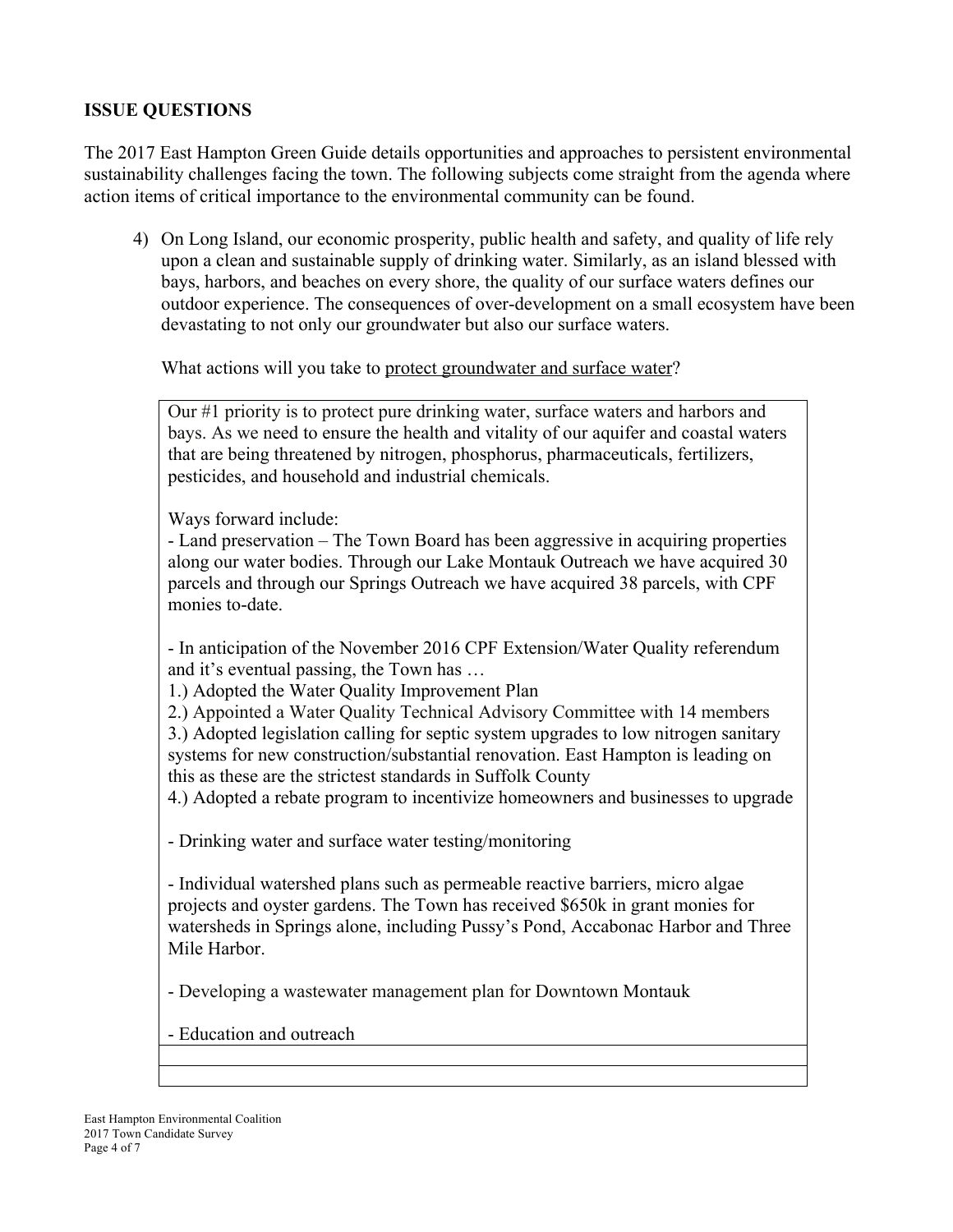# **ISSUE QUESTIONS**

The 2017 East Hampton Green Guide details opportunities and approaches to persistent environmental sustainability challenges facing the town. The following subjects come straight from the agenda where action items of critical importance to the environmental community can be found.

4) On Long Island, our economic prosperity, public health and safety, and quality of life rely upon a clean and sustainable supply of drinking water. Similarly, as an island blessed with bays, harbors, and beaches on every shore, the quality of our surface waters defines our outdoor experience. The consequences of over-development on a small ecosystem have been devastating to not only our groundwater but also our surface waters.

What actions will you take to protect groundwater and surface water?

Our #1 priority is to protect pure drinking water, surface waters and harbors and bays. As we need to ensure the health and vitality of our aquifer and coastal waters that are being threatened by nitrogen, phosphorus, pharmaceuticals, fertilizers, pesticides, and household and industrial chemicals.

Ways forward include:

- Land preservation – The Town Board has been aggressive in acquiring properties along our water bodies. Through our Lake Montauk Outreach we have acquired 30 parcels and through our Springs Outreach we have acquired 38 parcels, with CPF monies to-date.

- In anticipation of the November 2016 CPF Extension/Water Quality referendum and it's eventual passing, the Town has …

1.) Adopted the Water Quality Improvement Plan

2.) Appointed a Water Quality Technical Advisory Committee with 14 members 3.) Adopted legislation calling for septic system upgrades to low nitrogen sanitary systems for new construction/substantial renovation. East Hampton is leading on this as these are the strictest standards in Suffolk County

4.) Adopted a rebate program to incentivize homeowners and businesses to upgrade

- Drinking water and surface water testing/monitoring

- Individual watershed plans such as permeable reactive barriers, micro algae projects and oyster gardens. The Town has received \$650k in grant monies for watersheds in Springs alone, including Pussy's Pond, Accabonac Harbor and Three Mile Harbor.

- Developing a wastewater management plan for Downtown Montauk

- Education and outreach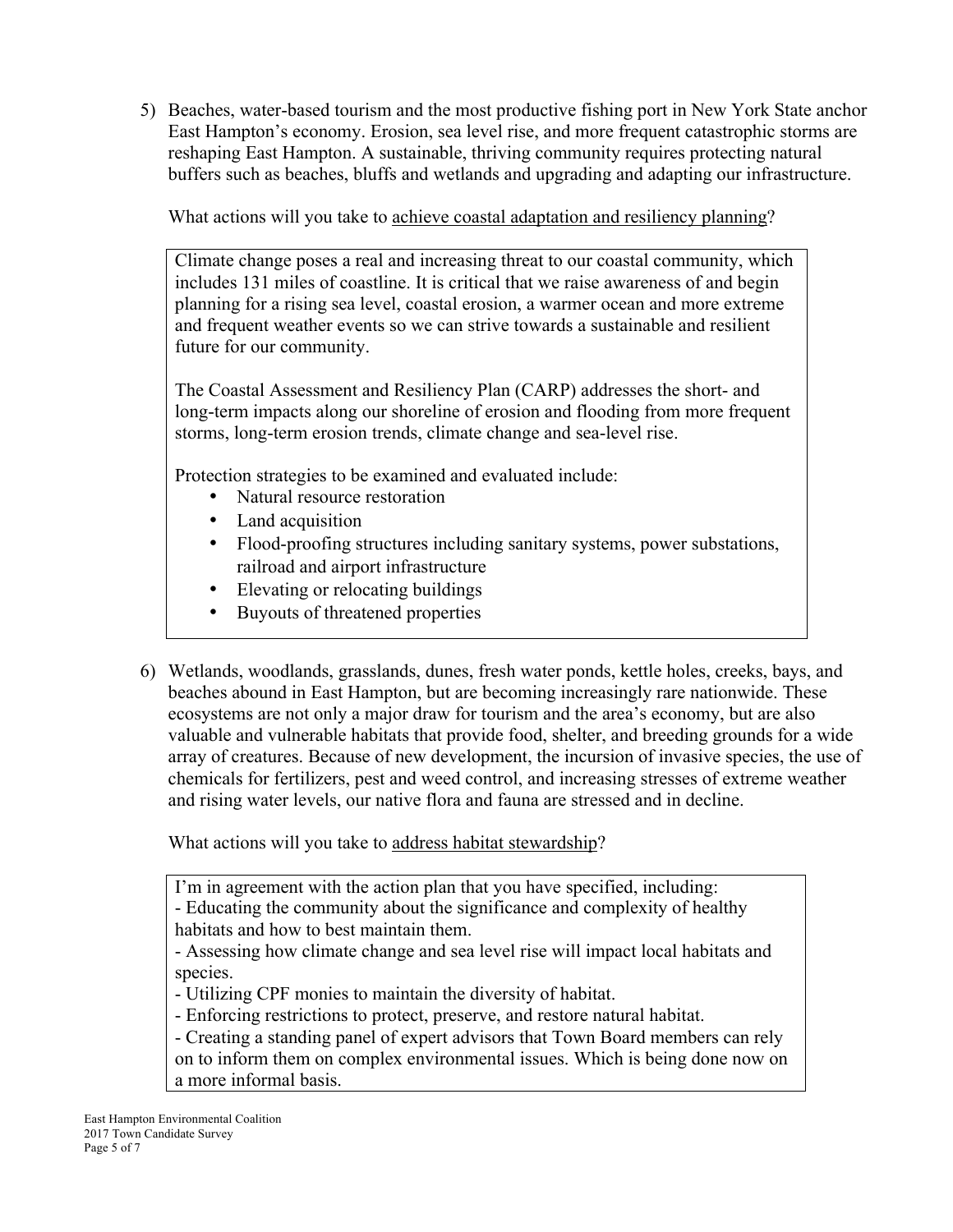5) Beaches, water-based tourism and the most productive fishing port in New York State anchor East Hampton's economy. Erosion, sea level rise, and more frequent catastrophic storms are reshaping East Hampton. A sustainable, thriving community requires protecting natural buffers such as beaches, bluffs and wetlands and upgrading and adapting our infrastructure.

What actions will you take to achieve coastal adaptation and resiliency planning?

Climate change poses a real and increasing threat to our coastal community, which includes 131 miles of coastline. It is critical that we raise awareness of and begin planning for a rising sea level, coastal erosion, a warmer ocean and more extreme and frequent weather events so we can strive towards a sustainable and resilient future for our community.

The Coastal Assessment and Resiliency Plan (CARP) addresses the short- and long-term impacts along our shoreline of erosion and flooding from more frequent storms, long-term erosion trends, climate change and sea-level rise.

Protection strategies to be examined and evaluated include:

- Natural resource restoration
- Land acquisition
- Flood-proofing structures including sanitary systems, power substations, railroad and airport infrastructure
- Elevating or relocating buildings
- Buyouts of threatened properties
- 6) Wetlands, woodlands, grasslands, dunes, fresh water ponds, kettle holes, creeks, bays, and beaches abound in East Hampton, but are becoming increasingly rare nationwide. These ecosystems are not only a major draw for tourism and the area's economy, but are also valuable and vulnerable habitats that provide food, shelter, and breeding grounds for a wide array of creatures. Because of new development, the incursion of invasive species, the use of chemicals for fertilizers, pest and weed control, and increasing stresses of extreme weather and rising water levels, our native flora and fauna are stressed and in decline.

What actions will you take to address habitat stewardship?

I'm in agreement with the action plan that you have specified, including:

- Educating the community about the significance and complexity of healthy habitats and how to best maintain them.

- Assessing how climate change and sea level rise will impact local habitats and species.

- Utilizing CPF monies to maintain the diversity of habitat.
- Enforcing restrictions to protect, preserve, and restore natural habitat.
- Creating a standing panel of expert advisors that Town Board members can rely on to inform them on complex environmental issues. Which is being done now on a more informal basis.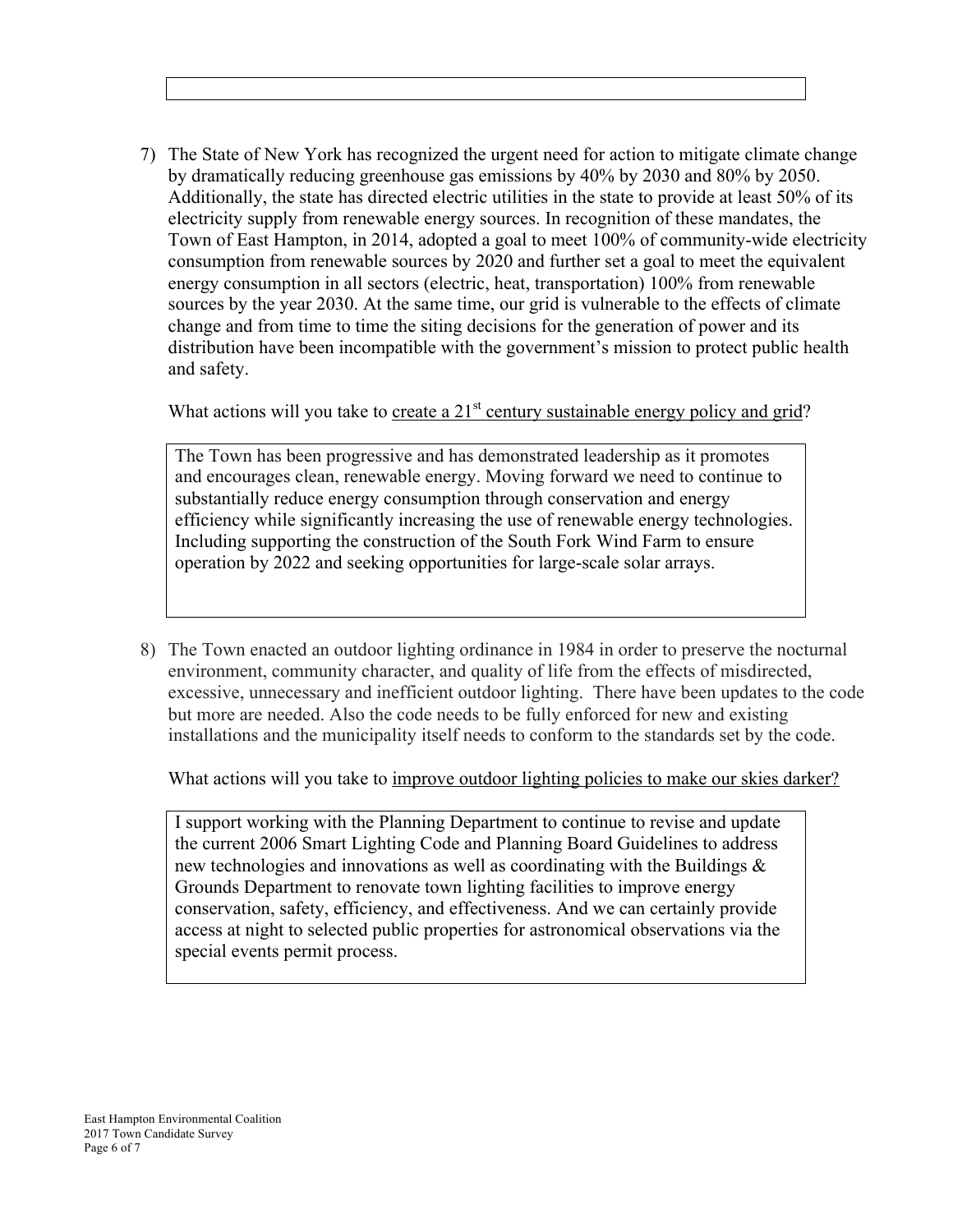7) The State of New York has recognized the urgent need for action to mitigate climate change by dramatically reducing greenhouse gas emissions by 40% by 2030 and 80% by 2050. Additionally, the state has directed electric utilities in the state to provide at least 50% of its electricity supply from renewable energy sources. In recognition of these mandates, the Town of East Hampton, in 2014, adopted a goal to meet 100% of community-wide electricity consumption from renewable sources by 2020 and further set a goal to meet the equivalent energy consumption in all sectors (electric, heat, transportation) 100% from renewable sources by the year 2030. At the same time, our grid is vulnerable to the effects of climate change and from time to time the siting decisions for the generation of power and its distribution have been incompatible with the government's mission to protect public health and safety.

What actions will you take to create a  $21<sup>st</sup>$  century sustainable energy policy and grid?

The Town has been progressive and has demonstrated leadership as it promotes and encourages clean, renewable energy. Moving forward we need to continue to substantially reduce energy consumption through conservation and energy efficiency while significantly increasing the use of renewable energy technologies. Including supporting the construction of the South Fork Wind Farm to ensure operation by 2022 and seeking opportunities for large-scale solar arrays.

8) The Town enacted an outdoor lighting ordinance in 1984 in order to preserve the nocturnal environment, community character, and quality of life from the effects of misdirected, excessive, unnecessary and inefficient outdoor lighting. There have been updates to the code but more are needed. Also the code needs to be fully enforced for new and existing installations and the municipality itself needs to conform to the standards set by the code.

What actions will you take to improve outdoor lighting policies to make our skies darker?

I support working with the Planning Department to continue to revise and update the current 2006 Smart Lighting Code and Planning Board Guidelines to address new technologies and innovations as well as coordinating with the Buildings & Grounds Department to renovate town lighting facilities to improve energy conservation, safety, efficiency, and effectiveness. And we can certainly provide access at night to selected public properties for astronomical observations via the special events permit process.